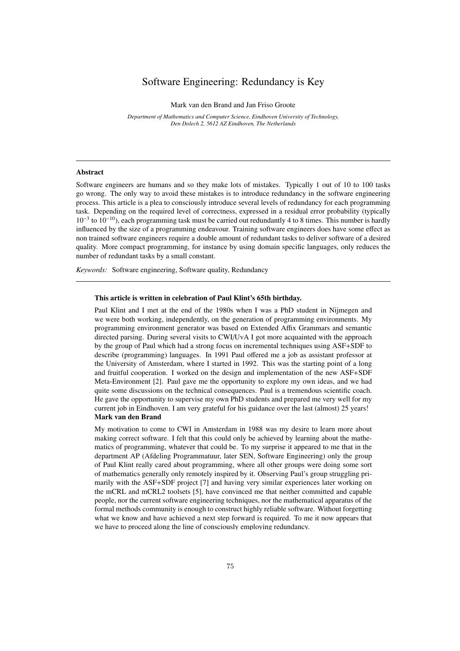# Software Engineering: Redundancy is Key

Mark van den Brand and Jan Friso Groote

*Department of Mathematics and Computer Science, Eindhoven University of Technology, Den Dolech 2, 5612 AZ Eindhoven, The Netherlands*

## Abstract

Software engineers are humans and so they make lots of mistakes. Typically 1 out of 10 to 100 tasks go wrong. The only way to avoid these mistakes is to introduce redundancy in the software engineering process. This article is a plea to consciously introduce several levels of redundancy for each programming task. Depending on the required level of correctness, expressed in a residual error probability (typically  $10^{-3}$  to  $10^{-10}$ ), each programming task must be carried out redundantly 4 to 8 times. This number is hardly influenced by the size of a programming endeavour. Training software engineers does have some effect as non trained software engineers require a double amount of redundant tasks to deliver software of a desired quality. More compact programming, for instance by using domain specific languages, only reduces the number of redundant tasks by a small constant.

*Keywords:* Software engineering, Software quality, Redundancy

#### This article is written in celebration of Paul Klint's 65th birthday.

Paul Klint and I met at the end of the 1980s when I was a PhD student in Nijmegen and we were both working, independently, on the generation of programming environments. My programming environment generator was based on Extended Affix Grammars and semantic directed parsing. During several visits to CWI/UvA I got more acquainted with the approach by the group of Paul which had a strong focus on incremental techniques using ASF+SDF to describe (programming) languages. In 1991 Paul offered me a job as assistant professor at the University of Amsterdam, where I started in 1992. This was the starting point of a long and fruitful cooperation. I worked on the design and implementation of the new ASF+SDF Meta-Environment [2]. Paul gave me the opportunity to explore my own ideas, and we had quite some discussions on the technical consequences. Paul is a tremendous scientific coach. He gave the opportunity to supervise my own PhD students and prepared me very well for my current job in Eindhoven. I am very grateful for his guidance over the last (almost) 25 years! Mark van den Brand

My motivation to come to CWI in Amsterdam in 1988 was my desire to learn more about making correct software. I felt that this could only be achieved by learning about the mathematics of programming, whatever that could be. To my surprise it appeared to me that in the department AP (Afdeling Programmatuur, later SEN, Software Engineering) only the group of Paul Klint really cared about programming, where all other groups were doing some sort of mathematics generally only remotely inspired by it. Observing Paul's group struggling primarily with the ASF+SDF project [7] and having very similar experiences later working on the mCRL and mCRL2 toolsets [5], have convinced me that neither committed and capable people, nor the current software engineering techniques, nor the mathematical apparatus of the formal methods community is enough to construct highly reliable software. Without forgetting what we know and have achieved a next step forward is required. To me it now appears that we have to proceed along the line of consciously employing redundancy.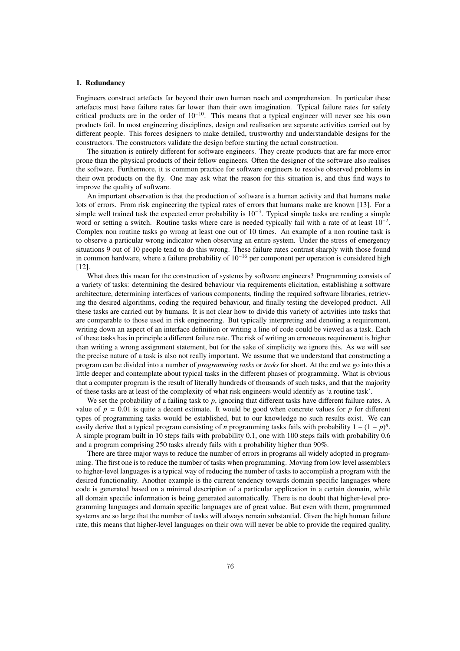## 1. Redundancy

Engineers construct artefacts far beyond their own human reach and comprehension. In particular these artefacts must have failure rates far lower than their own imagination. Typical failure rates for safety critical products are in the order of  $10^{-10}$ . This means that a typical engineer will never see his own products fail. In most engineering disciplines, design and realisation are separate activities carried out by different people. This forces designers to make detailed, trustworthy and understandable designs for the constructors. The constructors validate the design before starting the actual construction.

The situation is entirely different for software engineers. They create products that are far more error prone than the physical products of their fellow engineers. Often the designer of the software also realises the software. Furthermore, it is common practice for software engineers to resolve observed problems in their own products on the fly. One may ask what the reason for this situation is, and thus find ways to improve the quality of software.

An important observation is that the production of software is a human activity and that humans make lots of errors. From risk engineering the typical rates of errors that humans make are known [13]. For a simple well trained task the expected error probability is  $10^{-3}$ . Typical simple tasks are reading a simple word or setting a switch. Routine tasks where care is needed typically fail with a rate of at least  $10^{-2}$ . Complex non routine tasks go wrong at least one out of 10 times. An example of a non routine task is to observe a particular wrong indicator when observing an entire system. Under the stress of emergency situations 9 out of 10 people tend to do this wrong. These failure rates contrast sharply with those found in common hardware, where a failure probability of  $10^{-16}$  per component per operation is considered high [12].

What does this mean for the construction of systems by software engineers? Programming consists of a variety of tasks: determining the desired behaviour via requirements elicitation, establishing a software architecture, determining interfaces of various components, finding the required software libraries, retrieving the desired algorithms, coding the required behaviour, and finally testing the developed product. All these tasks are carried out by humans. It is not clear how to divide this variety of activities into tasks that are comparable to those used in risk engineering. But typically interpreting and denoting a requirement, writing down an aspect of an interface definition or writing a line of code could be viewed as a task. Each of these tasks has in principle a different failure rate. The risk of writing an erroneous requirement is higher than writing a wrong assignment statement, but for the sake of simplicity we ignore this. As we will see the precise nature of a task is also not really important. We assume that we understand that constructing a program can be divided into a number of *programming tasks* or *tasks* for short. At the end we go into this a little deeper and contemplate about typical tasks in the different phases of programming. What is obvious that a computer program is the result of literally hundreds of thousands of such tasks, and that the majority of these tasks are at least of the complexity of what risk engineers would identify as 'a routine task'.

We set the probability of a failing task to p, ignoring that different tasks have different failure rates. A value of  $p = 0.01$  is quite a decent estimate. It would be good when concrete values for p for different types of programming tasks would be established, but to our knowledge no such results exist. We can easily derive that a typical program consisting of *n* programming tasks fails with probability  $1 - (1 - p)^n$ . A simple program built in 10 steps fails with probability 0.1, one with 100 steps fails with probability 0.6 and a program comprising 250 tasks already fails with a probability higher than 90%.

There are three major ways to reduce the number of errors in programs all widely adopted in programming. The first one is to reduce the number of tasks when programming. Moving from low level assemblers to higher-level languages is a typical way of reducing the number of tasks to accomplish a program with the desired functionality. Another example is the current tendency towards domain specific languages where code is generated based on a minimal description of a particular application in a certain domain, while all domain specific information is being generated automatically. There is no doubt that higher-level programming languages and domain specific languages are of great value. But even with them, programmed systems are so large that the number of tasks will always remain substantial. Given the high human failure rate, this means that higher-level languages on their own will never be able to provide the required quality.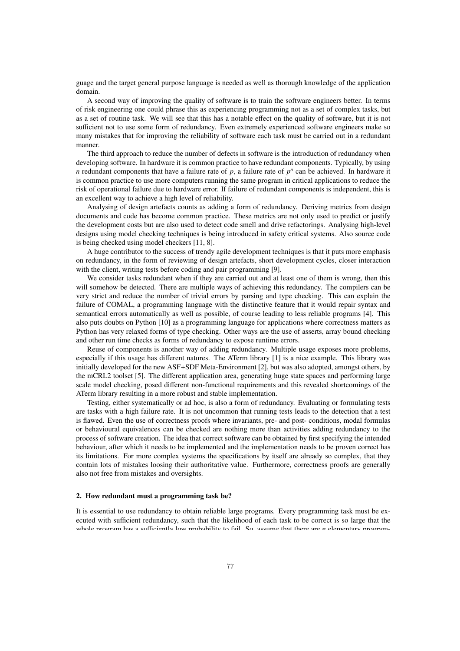guage and the target general purpose language is needed as well as thorough knowledge of the application domain.

A second way of improving the quality of software is to train the software engineers better. In terms of risk engineering one could phrase this as experiencing programming not as a set of complex tasks, but as a set of routine task. We will see that this has a notable effect on the quality of software, but it is not sufficient not to use some form of redundancy. Even extremely experienced software engineers make so many mistakes that for improving the reliability of software each task must be carried out in a redundant manner.

The third approach to reduce the number of defects in software is the introduction of redundancy when developing software. In hardware it is common practice to have redundant components. Typically, by using *n* redundant components that have a failure rate of  $p$ , a failure rate of  $p<sup>n</sup>$  can be achieved. In hardware it is common practice to use more computers running the same program in critical applications to reduce the risk of operational failure due to hardware error. If failure of redundant components is independent, this is an excellent way to achieve a high level of reliability.

Analysing of design artefacts counts as adding a form of redundancy. Deriving metrics from design documents and code has become common practice. These metrics are not only used to predict or justify the development costs but are also used to detect code smell and drive refactorings. Analysing high-level designs using model checking techniques is being introduced in safety critical systems. Also source code is being checked using model checkers [11, 8].

A huge contributor to the success of trendy agile development techniques is that it puts more emphasis on redundancy, in the form of reviewing of design artefacts, short development cycles, closer interaction with the client, writing tests before coding and pair programming [9].

We consider tasks redundant when if they are carried out and at least one of them is wrong, then this will somehow be detected. There are multiple ways of achieving this redundancy. The compilers can be very strict and reduce the number of trivial errors by parsing and type checking. This can explain the failure of COMAL, a programming language with the distinctive feature that it would repair syntax and semantical errors automatically as well as possible, of course leading to less reliable programs [4]. This also puts doubts on Python [10] as a programming language for applications where correctness matters as Python has very relaxed forms of type checking. Other ways are the use of asserts, array bound checking and other run time checks as forms of redundancy to expose runtime errors.

Reuse of components is another way of adding redundancy. Multiple usage exposes more problems, especially if this usage has different natures. The ATerm library [1] is a nice example. This library was initially developed for the new ASF+SDF Meta-Environment [2], but was also adopted, amongst others, by the mCRL2 toolset [5]. The different application area, generating huge state spaces and performing large scale model checking, posed different non-functional requirements and this revealed shortcomings of the ATerm library resulting in a more robust and stable implementation.

Testing, either systematically or ad hoc, is also a form of redundancy. Evaluating or formulating tests are tasks with a high failure rate. It is not uncommon that running tests leads to the detection that a test is flawed. Even the use of correctness proofs where invariants, pre- and post- conditions, modal formulas or behavioural equivalences can be checked are nothing more than activities adding redundancy to the process of software creation. The idea that correct software can be obtained by first specifying the intended behaviour, after which it needs to be implemented and the implementation needs to be proven correct has its limitations. For more complex systems the specifications by itself are already so complex, that they contain lots of mistakes loosing their authoritative value. Furthermore, correctness proofs are generally also not free from mistakes and oversights.

## 2. How redundant must a programming task be?

It is essential to use redundancy to obtain reliable large programs. Every programming task must be executed with sufficient redundancy, such that the likelihood of each task to be correct is so large that the whole program has a sufficiently low probability to fail. So, assume that there are *n* elementary program-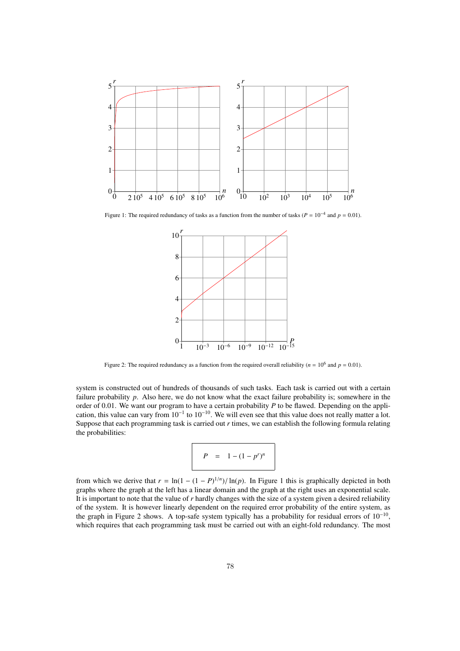

Figure 1: The required redundancy of tasks as a function from the number of tasks ( $P = 10^{-4}$  and  $p = 0.01$ ).



Figure 2: The required redundancy as a function from the required overall reliability ( $n = 10^6$  and  $p = 0.01$ ).

system is constructed out of hundreds of thousands of such tasks. Each task is carried out with a certain failure probability *p*. Also here, we do not know what the exact failure probability is; somewhere in the order of 0.01. We want our program to have a certain probability *P* to be flawed. Depending on the application, this value can vary from  $10^{-1}$  to  $10^{-10}$ . We will even see that this value does not really matter a lot. Suppose that each programming task is carried out *r* times, we can establish the following formula relating the probabilities:

$$
P = 1 - (1 - p^r)^n
$$

from which we derive that  $r = \ln(1 - (1 - P)^{1/n})/\ln(p)$ . In Figure 1 this is graphically depicted in both graphs where the graph at the left has a linear domain and the graph at the right uses an exponential scale. It is important to note that the value of *r* hardly changes with the size of a system given a desired reliability of the system. It is however linearly dependent on the required error probability of the entire system, as the graph in Figure 2 shows. A top-safe system typically has a probability for residual errors of  $10^{-10}$ , which requires that each programming task must be carried out with an eight-fold redundancy. The most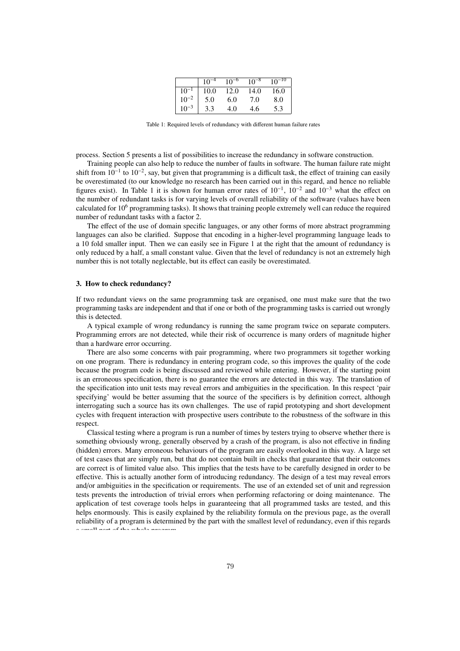|           | $10^{-4}$ | $10^{-6}$ | $10^{-8}$ | $10^{-10}$ |
|-----------|-----------|-----------|-----------|------------|
| $10^{-1}$ | 10.0      | 12.0      | 14.0      | 16.0       |
| $10^{-2}$ | 5.0       | 6.0       | 7.0       | 8.0        |
| $10^{-3}$ | 3.3       | 4.0       | 4.6       | 5.3        |

Table 1: Required levels of redundancy with different human failure rates

process. Section 5 presents a list of possibilities to increase the redundancy in software construction.

Training people can also help to reduce the number of faults in software. The human failure rate might shift from  $10^{-1}$  to  $10^{-2}$ , say, but given that programming is a difficult task, the effect of training can easily be overestimated (to our knowledge no research has been carried out in this regard, and hence no reliable figures exist). In Table 1 it is shown for human error rates of  $10^{-1}$ ,  $10^{-2}$  and  $10^{-3}$  what the effect on the number of redundant tasks is for varying levels of overall reliability of the software (values have been calculated for  $10<sup>6</sup>$  programming tasks). It shows that training people extremely well can reduce the required number of redundant tasks with a factor 2.

The effect of the use of domain specific languages, or any other forms of more abstract programming languages can also be clarified. Suppose that encoding in a higher-level programming language leads to a 10 fold smaller input. Then we can easily see in Figure 1 at the right that the amount of redundancy is only reduced by a half, a small constant value. Given that the level of redundancy is not an extremely high number this is not totally neglectable, but its effect can easily be overestimated.

### 3. How to check redundancy?

If two redundant views on the same programming task are organised, one must make sure that the two programming tasks are independent and that if one or both of the programming tasks is carried out wrongly this is detected.

A typical example of wrong redundancy is running the same program twice on separate computers. Programming errors are not detected, while their risk of occurrence is many orders of magnitude higher than a hardware error occurring.

There are also some concerns with pair programming, where two programmers sit together working on one program. There is redundancy in entering program code, so this improves the quality of the code because the program code is being discussed and reviewed while entering. However, if the starting point is an erroneous specification, there is no guarantee the errors are detected in this way. The translation of the specification into unit tests may reveal errors and ambiguities in the specification. In this respect 'pair specifying' would be better assuming that the source of the specifiers is by definition correct, although interrogating such a source has its own challenges. The use of rapid prototyping and short development cycles with frequent interaction with prospective users contribute to the robustness of the software in this respect.

Classical testing where a program is run a number of times by testers trying to observe whether there is something obviously wrong, generally observed by a crash of the program, is also not effective in finding (hidden) errors. Many erroneous behaviours of the program are easily overlooked in this way. A large set of test cases that are simply run, but that do not contain built in checks that guarantee that their outcomes are correct is of limited value also. This implies that the tests have to be carefully designed in order to be effective. This is actually another form of introducing redundancy. The design of a test may reveal errors and/or ambiguities in the specification or requirements. The use of an extended set of unit and regression tests prevents the introduction of trivial errors when performing refactoring or doing maintenance. The application of test coverage tools helps in guaranteeing that all programmed tasks are tested, and this helps enormously. This is easily explained by the reliability formula on the previous page, as the overall reliability of a program is determined by the part with the smallest level of redundancy, even if this regards and part of the whole problem  $\mathbf{r}_i$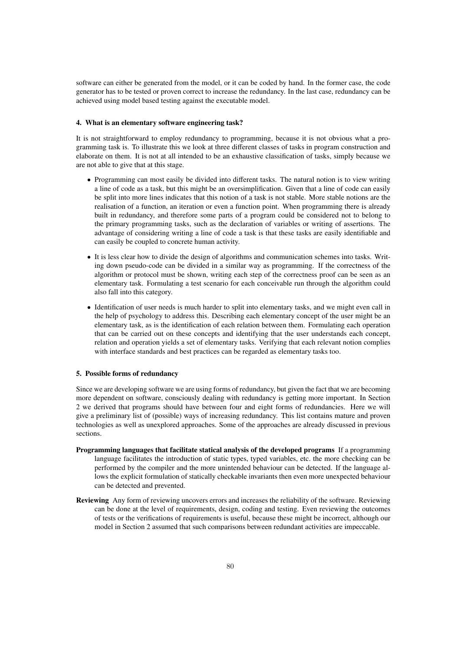software can either be generated from the model, or it can be coded by hand. In the former case, the code generator has to be tested or proven correct to increase the redundancy. In the last case, redundancy can be achieved using model based testing against the executable model.

## 4. What is an elementary software engineering task?

It is not straightforward to employ redundancy to programming, because it is not obvious what a programming task is. To illustrate this we look at three different classes of tasks in program construction and elaborate on them. It is not at all intended to be an exhaustive classification of tasks, simply because we are not able to give that at this stage.

- Programming can most easily be divided into different tasks. The natural notion is to view writing a line of code as a task, but this might be an oversimplification. Given that a line of code can easily be split into more lines indicates that this notion of a task is not stable. More stable notions are the realisation of a function, an iteration or even a function point. When programming there is already built in redundancy, and therefore some parts of a program could be considered not to belong to the primary programming tasks, such as the declaration of variables or writing of assertions. The advantage of considering writing a line of code a task is that these tasks are easily identifiable and can easily be coupled to concrete human activity.
- It is less clear how to divide the design of algorithms and communication schemes into tasks. Writing down pseudo-code can be divided in a similar way as programming. If the correctness of the algorithm or protocol must be shown, writing each step of the correctness proof can be seen as an elementary task. Formulating a test scenario for each conceivable run through the algorithm could also fall into this category.
- Identification of user needs is much harder to split into elementary tasks, and we might even call in the help of psychology to address this. Describing each elementary concept of the user might be an elementary task, as is the identification of each relation between them. Formulating each operation that can be carried out on these concepts and identifying that the user understands each concept, relation and operation yields a set of elementary tasks. Verifying that each relevant notion complies with interface standards and best practices can be regarded as elementary tasks too.

## 5. Possible forms of redundancy

Since we are developing software we are using forms of redundancy, but given the fact that we are becoming more dependent on software, consciously dealing with redundancy is getting more important. In Section 2 we derived that programs should have between four and eight forms of redundancies. Here we will give a preliminary list of (possible) ways of increasing redundancy. This list contains mature and proven technologies as well as unexplored approaches. Some of the approaches are already discussed in previous sections.

- Programming languages that facilitate statical analysis of the developed programs If a programming language facilitates the introduction of static types, typed variables, etc. the more checking can be performed by the compiler and the more unintended behaviour can be detected. If the language allows the explicit formulation of statically checkable invariants then even more unexpected behaviour can be detected and prevented.
- Reviewing Any form of reviewing uncovers errors and increases the reliability of the software. Reviewing can be done at the level of requirements, design, coding and testing. Even reviewing the outcomes of tests or the verifications of requirements is useful, because these might be incorrect, although our model in Section 2 assumed that such comparisons between redundant activities are impeccable.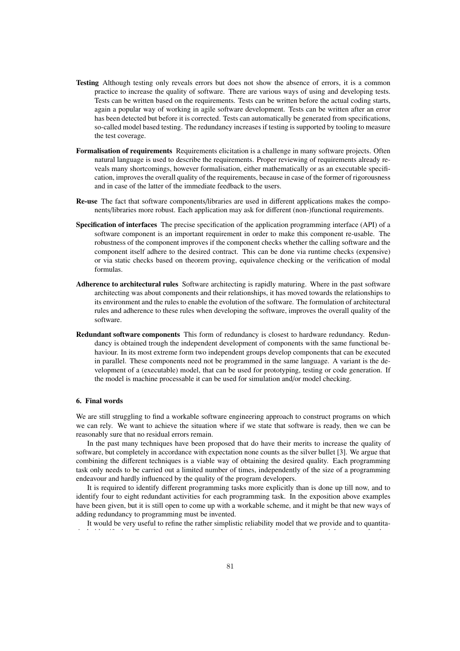- Testing Although testing only reveals errors but does not show the absence of errors, it is a common practice to increase the quality of software. There are various ways of using and developing tests. Tests can be written based on the requirements. Tests can be written before the actual coding starts, again a popular way of working in agile software development. Tests can be written after an error has been detected but before it is corrected. Tests can automatically be generated from specifications, so-called model based testing. The redundancy increases if testing is supported by tooling to measure the test coverage.
- Formalisation of requirements Requirements elicitation is a challenge in many software projects. Often natural language is used to describe the requirements. Proper reviewing of requirements already reveals many shortcomings, however formalisation, either mathematically or as an executable specification, improves the overall quality of the requirements, because in case of the former of rigorousness and in case of the latter of the immediate feedback to the users.
- Re-use The fact that software components/libraries are used in different applications makes the components/libraries more robust. Each application may ask for different (non-)functional requirements.
- Specification of interfaces The precise specification of the application programming interface (API) of a software component is an important requirement in order to make this component re-usable. The robustness of the component improves if the component checks whether the calling software and the component itself adhere to the desired contract. This can be done via runtime checks (expensive) or via static checks based on theorem proving, equivalence checking or the verification of modal formulas.
- Adherence to architectural rules Software architecting is rapidly maturing. Where in the past software architecting was about components and their relationships, it has moved towards the relationships to its environment and the rules to enable the evolution of the software. The formulation of architectural rules and adherence to these rules when developing the software, improves the overall quality of the software.
- Redundant software components This form of redundancy is closest to hardware redundancy. Redundancy is obtained trough the independent development of components with the same functional behaviour. In its most extreme form two independent groups develop components that can be executed in parallel. These components need not be programmed in the same language. A variant is the development of a (executable) model, that can be used for prototyping, testing or code generation. If the model is machine processable it can be used for simulation and/or model checking.

#### 6. Final words

We are still struggling to find a workable software engineering approach to construct programs on which we can rely. We want to achieve the situation where if we state that software is ready, then we can be reasonably sure that no residual errors remain.

In the past many techniques have been proposed that do have their merits to increase the quality of software, but completely in accordance with expectation none counts as the silver bullet [3]. We argue that combining the different techniques is a viable way of obtaining the desired quality. Each programming task only needs to be carried out a limited number of times, independently of the size of a programming endeavour and hardly influenced by the quality of the program developers.

It is required to identify different programming tasks more explicitly than is done up till now, and to identify four to eight redundant activities for each programming task. In the exposition above examples have been given, but it is still open to come up with a workable scheme, and it might be that new ways of adding redundancy to programming must be invented.

It would be very useful to refine the rather simplistic reliability model that we provide and to quantitatively identify the e↵ect of each redundant task. It can for instance be that a mismatch between redundant